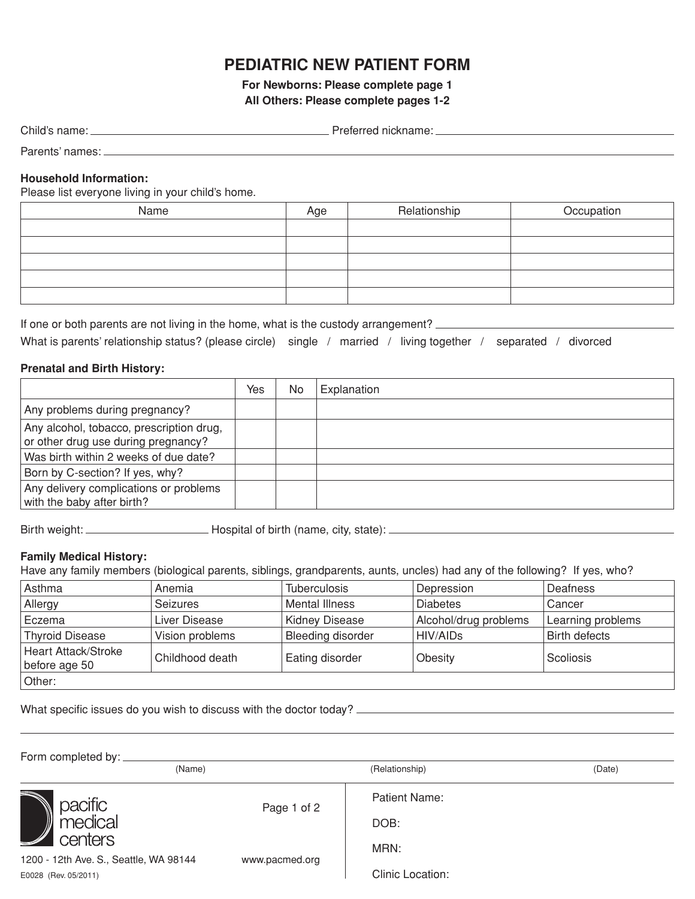## **Pediatric New Patient Form**

**For Newborns: Please complete page 1 All Others: Please complete pages 1-2**

| Child's name: | Preferred nickname: |
|---------------|---------------------|
|               |                     |

Parents' names: **Example 2018** 2019 12:00:00 Parents' names

### **Household Information:**

Please list everyone living in your child's home.

| Name | Age | Relationship | Occupation |
|------|-----|--------------|------------|
|      |     |              |            |
|      |     |              |            |
|      |     |              |            |
|      |     |              |            |
|      |     |              |            |

If one or both parents are not living in the home, what is the custody arrangement? \_\_\_\_\_\_\_\_\_\_\_\_\_\_\_ What is parents' relationship status? (please circle) single / married / living together / separated / divorced

### **Prenatal and Birth History:**

|                                                                                 | Yes | No | Explanation |
|---------------------------------------------------------------------------------|-----|----|-------------|
| Any problems during pregnancy?                                                  |     |    |             |
| Any alcohol, tobacco, prescription drug,<br>or other drug use during pregnancy? |     |    |             |
| Was birth within 2 weeks of due date?                                           |     |    |             |
| Born by C-section? If yes, why?                                                 |     |    |             |
| Any delivery complications or problems<br>with the baby after birth?            |     |    |             |

Birth weight: Hospital of birth (name, city, state):

## **Family Medical History:**

Have any family members (biological parents, siblings, grandparents, aunts, uncles) had any of the following? If yes, who?

| Asthma                               | Anemia          | <b>Tuberculosis</b>   | Depression            | Deafness             |
|--------------------------------------|-----------------|-----------------------|-----------------------|----------------------|
| Allergy                              | <b>Seizures</b> | <b>Mental Illness</b> | <b>Diabetes</b>       | Cancer               |
| Eczema                               | Liver Disease   | <b>Kidney Disease</b> | Alcohol/drug problems | Learning problems    |
| <b>Thyroid Disease</b>               | Vision problems | Bleeding disorder     | HIV/AIDs              | <b>Birth defects</b> |
| Heart Attack/Stroke<br>before age 50 | Childhood death | Eating disorder       | Obesity               | Scoliosis            |
| Other:                               |                 |                       |                       |                      |

What specific issues do you wish to discuss with the doctor today?

| Form completed by:                                |                |                  |        |
|---------------------------------------------------|----------------|------------------|--------|
| (Name)                                            |                | (Relationship)   | (Date) |
|                                                   | Page 1 of 2    | Patient Name:    |        |
| pacific<br>Departmedical                          |                | DOB:             |        |
| centers<br>1200 - 12th Ave. S., Seattle, WA 98144 | www.pacmed.org | MRN:             |        |
| E0028 (Rev. 05/2011)                              |                | Clinic Location: |        |